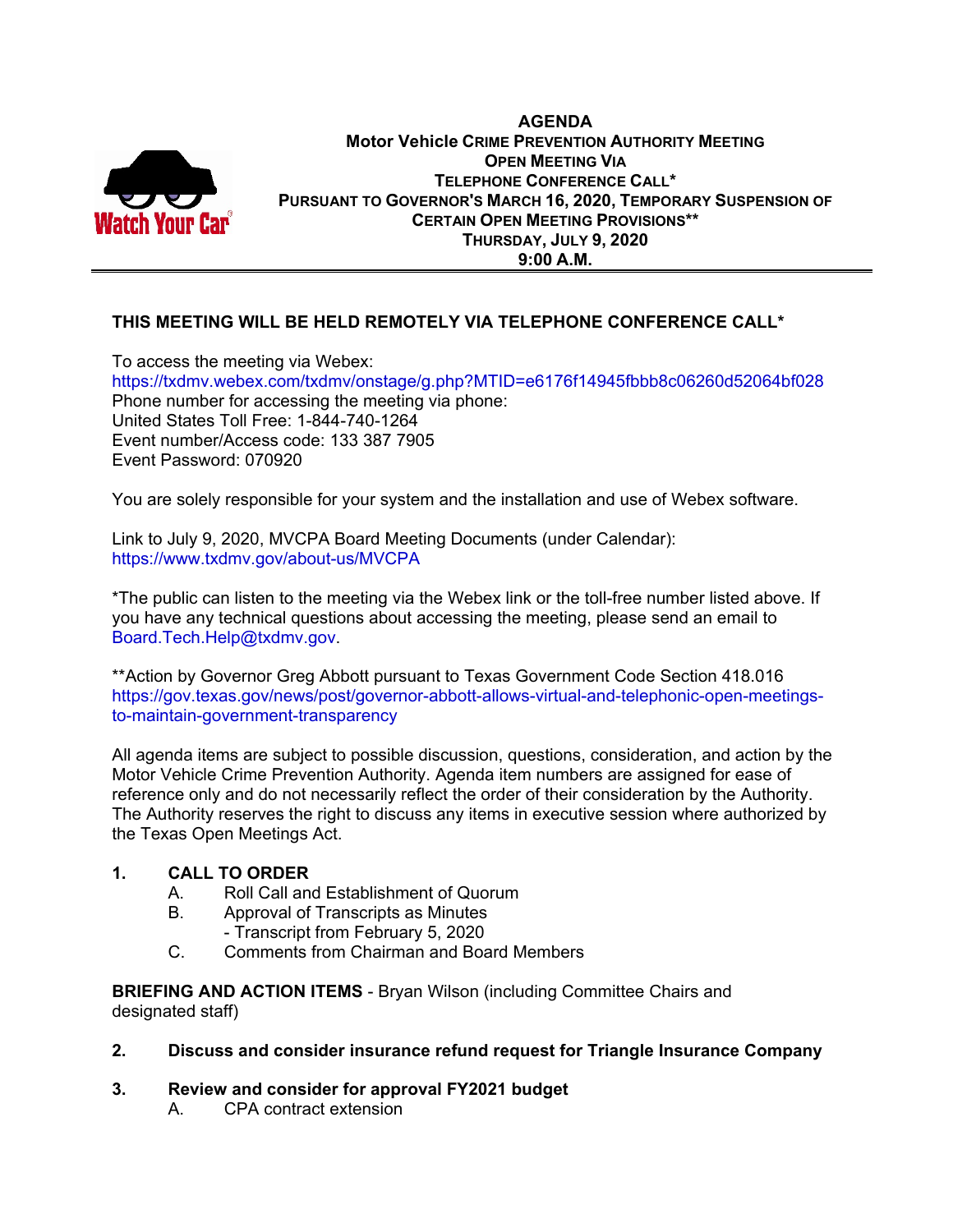

#### **AGENDA Motor Vehicle CRIME PREVENTION AUTHORITY MEETING OPEN MEETING VIA TELEPHONE CONFERENCE CALL\* PURSUANT TO GOVERNOR'S MARCH 16, 2020, TEMPORARY SUSPENSION OF CERTAIN OPEN MEETING PROVISIONS\*\* THURSDAY, JULY 9, 2020 9:00 A.M.**

# **THIS MEETING WILL BE HELD REMOTELY VIA TELEPHONE CONFERENCE CALL\***

To access the meeting via Webex: https://txdmv.webex.com/txdmv/onstage/g.php?MTID=e6176f14945fbbb8c06260d52064bf028 Phone number for accessing the meeting via phone: United States Toll Free: 1-844-740-1264 Event number/Access code: 133 387 7905 Event Password: 070920

You are solely responsible for your system and the installation and use of Webex software.

Link to July 9, 2020, MVCPA Board Meeting Documents (under Calendar): https://www.txdmv.gov/about-us/MVCPA

\*The public can listen to the meeting via the Webex link or the toll-free number listed above. If you have any technical questions about accessing the meeting, please send an email to Board.Tech.Help@txdmv.gov.

\*\*Action by Governor Greg Abbott pursuant to Texas Government Code Section 418.016 https://gov.texas.gov/news/post/governor-abbott-allows-virtual-and-telephonic-open-meetingsto-maintain-government-transparency

All agenda items are subject to possible discussion, questions, consideration, and action by the Motor Vehicle Crime Prevention Authority. Agenda item numbers are assigned for ease of reference only and do not necessarily reflect the order of their consideration by the Authority. The Authority reserves the right to discuss any items in executive session where authorized by the Texas Open Meetings Act.

### **1. CALL TO ORDER**

- A. Roll Call and Establishment of Quorum
- B. Approval of Transcripts as Minutes
	- Transcript from February 5, 2020
- C. Comments from Chairman and Board Members

**BRIEFING AND ACTION ITEMS** - Bryan Wilson (including Committee Chairs and designated staff)

### **2. Discuss and consider insurance refund request for Triangle Insurance Company**

### **3. Review and consider for approval FY2021 budget**

A. CPA contract extension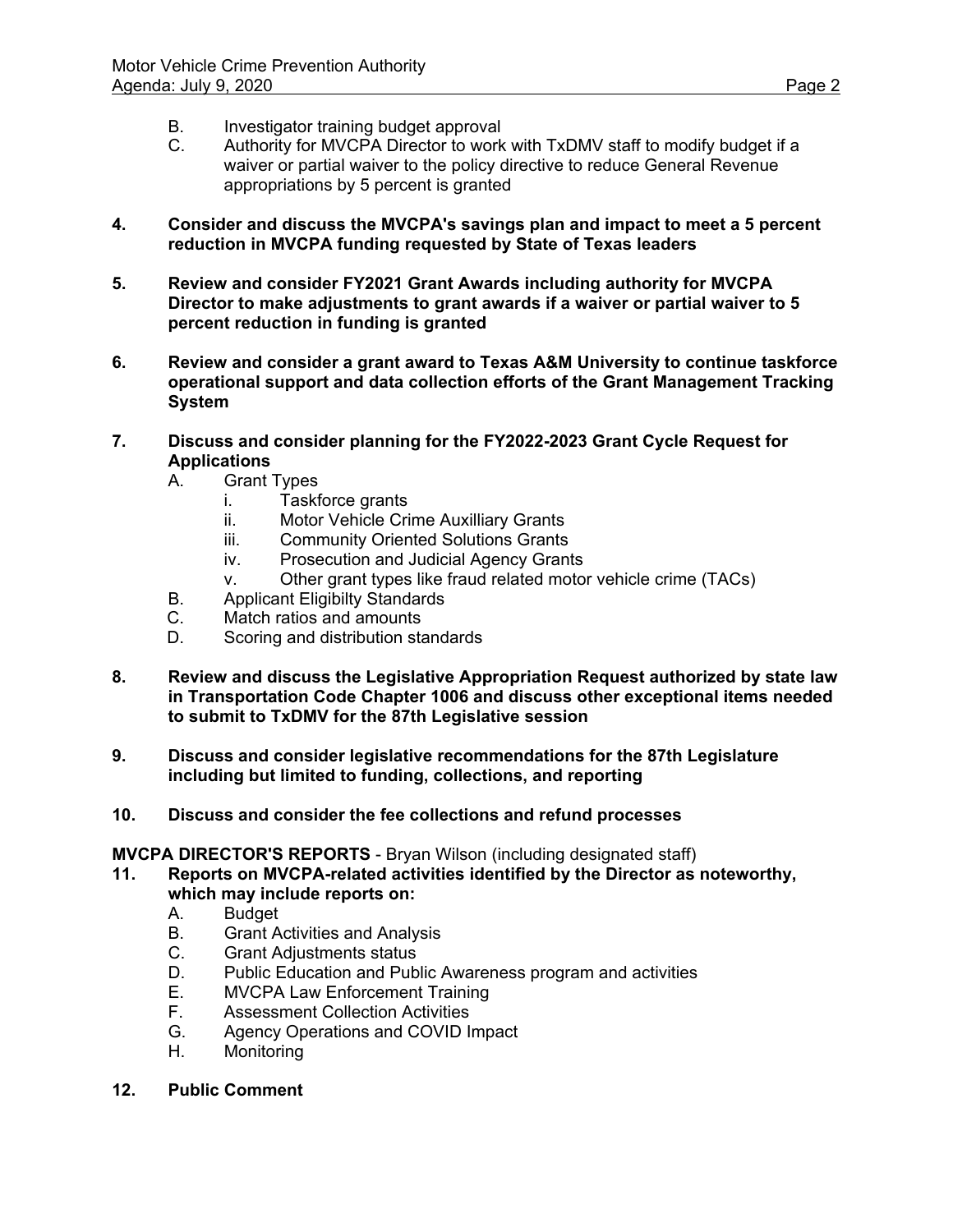- B. Investigator training budget approval<br>C. Authority for MVCPA Director to work
- Authority for MVCPA Director to work with TxDMV staff to modify budget if a waiver or partial waiver to the policy directive to reduce General Revenue appropriations by 5 percent is granted
- **4. Consider and discuss the MVCPA's savings plan and impact to meet a 5 percent reduction in MVCPA funding requested by State of Texas leaders**
- **5. Review and consider FY2021 Grant Awards including authority for MVCPA Director to make adjustments to grant awards if a waiver or partial waiver to 5 percent reduction in funding is granted**
- **6. Review and consider a grant award to Texas A&M University to continue taskforce operational support and data collection efforts of the Grant Management Tracking System**
- **7. Discuss and consider planning for the FY2022-2023 Grant Cycle Request for Applications**
	- A. Grant Types
		- i. Taskforce grants
		- ii. Motor Vehicle Crime Auxilliary Grants
		- iii. Community Oriented Solutions Grants
		- iv. Prosecution and Judicial Agency Grants
		- v. Other grant types like fraud related motor vehicle crime (TACs)
	- B. Applicant Eligibilty Standards
	- C. Match ratios and amounts
	- D. Scoring and distribution standards
- **8. Review and discuss the Legislative Appropriation Request authorized by state law in Transportation Code Chapter 1006 and discuss other exceptional items needed to submit to TxDMV for the 87th Legislative session**
- **9. Discuss and consider legislative recommendations for the 87th Legislature including but limited to funding, collections, and reporting**
- **10. Discuss and consider the fee collections and refund processes**

**MVCPA DIRECTOR'S REPORTS** - Bryan Wilson (including designated staff)

- **11. Reports on MVCPA-related activities identified by the Director as noteworthy, which may include reports on:**
	- A. Budget
	- B. Grant Activities and Analysis
	- C. Grant Adjustments status
	- D. Public Education and Public Awareness program and activities
	- E. MVCPA Law Enforcement Training<br>F. Assessment Collection Activities
	- **Assessment Collection Activities**
	- G. Agency Operations and COVID Impact
	- H. Monitoring
- **12. Public Comment**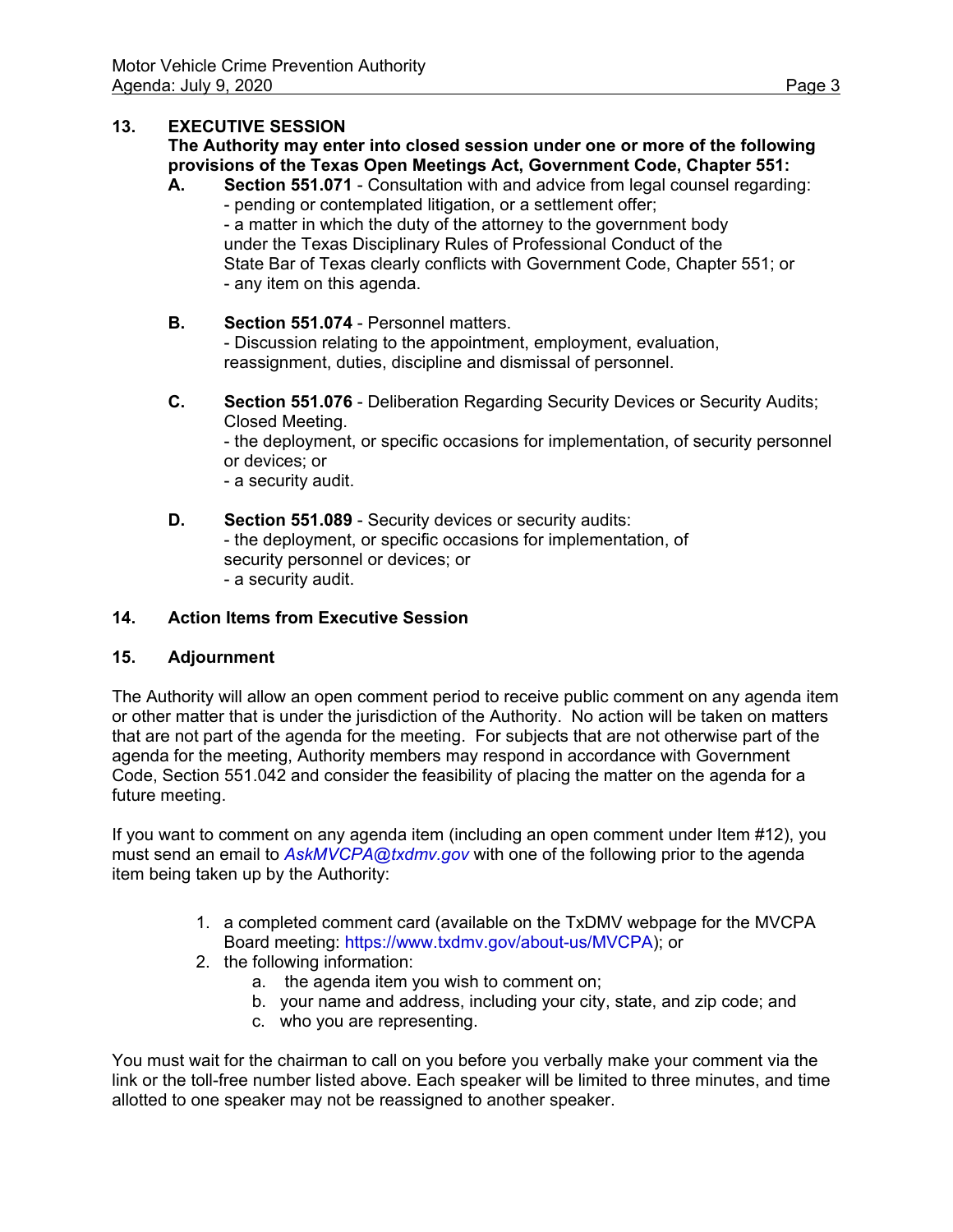## **13. EXECUTIVE SESSION**

### **The Authority may enter into closed session under one or more of the following provisions of the Texas Open Meetings Act, Government Code, Chapter 551:**

- **A. Section 551.071** Consultation with and advice from legal counsel regarding: - pending or contemplated litigation, or a settlement offer; - a matter in which the duty of the attorney to the government body under the Texas Disciplinary Rules of Professional Conduct of the State Bar of Texas clearly conflicts with Government Code, Chapter 551; or - any item on this agenda.
- **B. Section 551.074** Personnel matters. - Discussion relating to the appointment, employment, evaluation, reassignment, duties, discipline and dismissal of personnel.
- **C. Section 551.076** Deliberation Regarding Security Devices or Security Audits; Closed Meeting.

 - the deployment, or specific occasions for implementation, of security personnel or devices; or

- a security audit.

**D.** Section 551.089 - Security devices or security audits: - the deployment, or specific occasions for implementation, of security personnel or devices; or - a security audit.

### **14. Action Items from Executive Session**

### **15. Adjournment**

The Authority will allow an open comment period to receive public comment on any agenda item or other matter that is under the jurisdiction of the Authority. No action will be taken on matters that are not part of the agenda for the meeting. For subjects that are not otherwise part of the agenda for the meeting, Authority members may respond in accordance with Government Code, Section 551.042 and consider the feasibility of placing the matter on the agenda for a future meeting.

If you want to comment on any agenda item (including an open comment under Item #12), you must send an email to *AskMVCPA@txdmv.gov* with one of the following prior to the agenda item being taken up by the Authority:

- 1. a completed comment card (available on the TxDMV webpage for the MVCPA Board meeting: https://www.txdmv.gov/about-us/MVCPA); or
- 2. the following information:
	- a. the agenda item you wish to comment on;
	- b. your name and address, including your city, state, and zip code; and
	- c. who you are representing.

You must wait for the chairman to call on you before you verbally make your comment via the link or the toll-free number listed above. Each speaker will be limited to three minutes, and time allotted to one speaker may not be reassigned to another speaker.